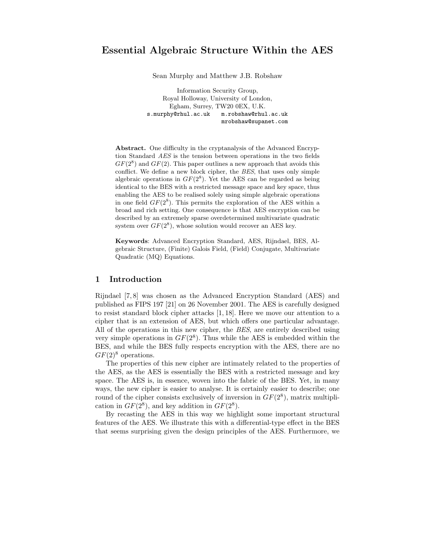# Essential Algebraic Structure Within the AES

Sean Murphy and Matthew J.B. Robshaw

Information Security Group, Royal Holloway, University of London, Egham, Surrey, TW20 0EX, U.K. s.murphy@rhul.ac.uk m.robshaw@rhul.ac.uk mrobshaw@supanet.com

Abstract. One difficulty in the cryptanalysis of the Advanced Encryption Standard AES is the tension between operations in the two fields  $GF(2^8)$  and  $GF(2)$ . This paper outlines a new approach that avoids this conflict. We define a new block cipher, the BES, that uses only simple algebraic operations in  $GF(2^8)$ . Yet the AES can be regarded as being identical to the BES with a restricted message space and key space, thus enabling the AES to be realised solely using simple algebraic operations in one field  $GF(2^8)$ . This permits the exploration of the AES within a broad and rich setting. One consequence is that AES encryption can be described by an extremely sparse overdetermined multivariate quadratic system over  $GF(2^8)$ , whose solution would recover an AES key.

Keywords: Advanced Encryption Standard, AES, Rijndael, BES, Algebraic Structure, (Finite) Galois Field, (Field) Conjugate, Multivariate Quadratic (MQ) Equations.

## 1 Introduction

Rijndael [7, 8] was chosen as the Advanced Encryption Standard (AES) and published as FIPS 197 [21] on 26 November 2001. The AES is carefully designed to resist standard block cipher attacks [1, 18]. Here we move our attention to a cipher that is an extension of AES, but which offers one particular advantage. All of the operations in this new cipher, the BES, are entirely described using very simple operations in  $GF(2^8)$ . Thus while the AES is embedded within the BES, and while the BES fully respects encryption with the AES, there are no  $GF(2)$ <sup>8</sup> operations.

The properties of this new cipher are intimately related to the properties of the AES, as the AES is essentially the BES with a restricted message and key space. The AES is, in essence, woven into the fabric of the BES. Yet, in many ways, the new cipher is easier to analyse. It is certainly easier to describe; one round of the cipher consists exclusively of inversion in  $GF(2<sup>8</sup>)$ , matrix multiplication in  $GF(2^8)$ , and key addition in  $GF(2^8)$ .

By recasting the AES in this way we highlight some important structural features of the AES. We illustrate this with a differential-type effect in the BES that seems surprising given the design principles of the AES. Furthermore, we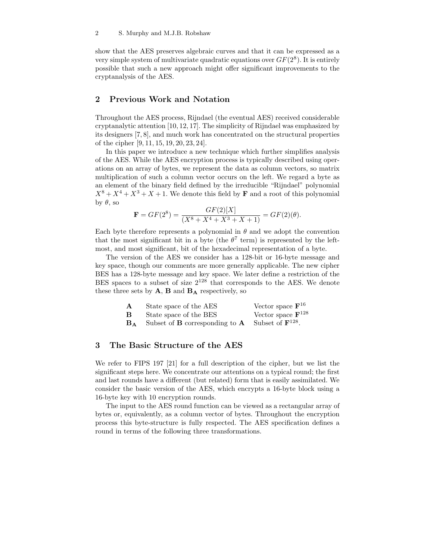show that the AES preserves algebraic curves and that it can be expressed as a very simple system of multivariate quadratic equations over  $GF(2<sup>8</sup>)$ . It is entirely possible that such a new approach might offer significant improvements to the cryptanalysis of the AES.

## 2 Previous Work and Notation

Throughout the AES process, Rijndael (the eventual AES) received considerable cryptanalytic attention [10, 12, 17]. The simplicity of Rijndael was emphasized by its designers [7, 8], and much work has concentrated on the structural properties of the cipher [9, 11, 15, 19, 20, 23, 24].

In this paper we introduce a new technique which further simplifies analysis of the AES. While the AES encryption process is typically described using operations on an array of bytes, we represent the data as column vectors, so matrix multiplication of such a column vector occurs on the left. We regard a byte as an element of the binary field defined by the irreducible "Rijndael" polynomial  $X^8 + X^4 + X^3 + X + 1$ . We denote this field by **F** and a root of this polynomial by  $\theta$ , so

$$
\mathbf{F} = GF(2^8) = \frac{GF(2)[X]}{(X^8 + X^4 + X^3 + X + 1)} = GF(2)(\theta).
$$

Each byte therefore represents a polynomial in  $\theta$  and we adopt the convention that the most significant bit in a byte (the  $\theta^7$  term) is represented by the leftmost, and most significant, bit of the hexadecimal representation of a byte.

The version of the AES we consider has a 128-bit or 16-byte message and key space, though our comments are more generally applicable. The new cipher BES has a 128-byte message and key space. We later define a restriction of the BES spaces to a subset of size  $2^{128}$  that corresponds to the AES. We denote these three sets by  $A$ ,  $B$  and  $B_A$  respectively, so

| А  | State space of the AES                       | Vector space $\mathbf{F}^{16}$  |
|----|----------------------------------------------|---------------------------------|
| В  | State space of the BES                       | Vector space $\mathbf{F}^{128}$ |
| B۵ | Subset of <b>B</b> corresponding to $\bf{A}$ | Subset of $\mathbf{F}^{128}$ .  |

# 3 The Basic Structure of the AES

We refer to FIPS 197 [21] for a full description of the cipher, but we list the significant steps here. We concentrate our attentions on a typical round; the first and last rounds have a different (but related) form that is easily assimilated. We consider the basic version of the AES, which encrypts a 16-byte block using a 16-byte key with 10 encryption rounds.

The input to the AES round function can be viewed as a rectangular array of bytes or, equivalently, as a column vector of bytes. Throughout the encryption process this byte-structure is fully respected. The AES specification defines a round in terms of the following three transformations.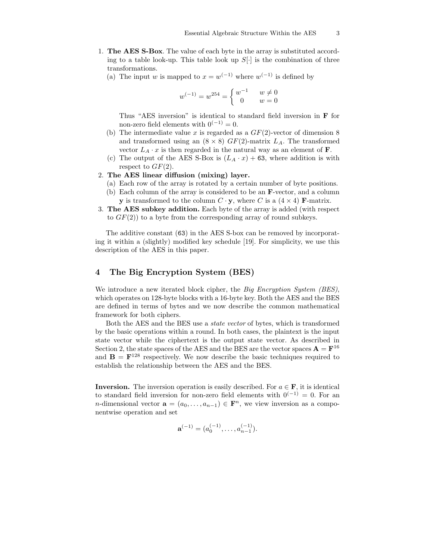- 1. The AES S-Box. The value of each byte in the array is substituted according to a table look-up. This table look up  $S[\cdot]$  is the combination of three transformations.
	- (a) The input w is mapped to  $x = w^{(-1)}$  where  $w^{(-1)}$  is defined by

$$
w^{(-1)} = w^{254} = \begin{cases} w^{-1} & w \neq 0\\ 0 & w = 0 \end{cases}
$$

Thus "AES inversion" is identical to standard field inversion in F for non-zero field elements with  $0^{(-1)} = 0$ .

- (b) The intermediate value x is regarded as a  $GF(2)$ -vector of dimension 8 and transformed using an  $(8 \times 8)$  GF(2)-matrix  $L_A$ . The transformed vector  $L_A \cdot x$  is then regarded in the natural way as an element of **F**.
- (c) The output of the AES S-Box is  $(L_A \cdot x) + 63$ , where addition is with respect to  $GF(2)$ .

### 2. The AES linear diffusion (mixing) layer.

- (a) Each row of the array is rotated by a certain number of byte positions.
- (b) Each column of the array is considered to be an F-vector, and a column **y** is transformed to the column  $C \cdot y$ , where C is a  $(4 \times 4)$  **F**-matrix.
- 3. The AES subkey addition. Each byte of the array is added (with respect to  $GF(2)$  to a byte from the corresponding array of round subkeys.

The additive constant (63) in the AES S-box can be removed by incorporating it within a (slightly) modified key schedule [19]. For simplicity, we use this description of the AES in this paper.

## 4 The Big Encryption System (BES)

We introduce a new iterated block cipher, the Big Encryption System (BES), which operates on 128-byte blocks with a 16-byte key. Both the AES and the BES are defined in terms of bytes and we now describe the common mathematical framework for both ciphers.

Both the AES and the BES use a state vector of bytes, which is transformed by the basic operations within a round. In both cases, the plaintext is the input state vector while the ciphertext is the output state vector. As described in Section 2, the state spaces of the AES and the BES are the vector spaces  $\mathbf{A} = \mathbf{F}^{16}$ and  $\mathbf{B} = \mathbf{F}^{128}$  respectively. We now describe the basic techniques required to establish the relationship between the AES and the BES.

**Inversion.** The inversion operation is easily described. For  $a \in \mathbf{F}$ , it is identical to standard field inversion for non-zero field elements with  $0^{(-1)} = 0$ . For an *n*-dimensional vector  $\mathbf{a} = (a_0, \dots, a_{n-1}) \in \mathbf{F}^n$ , we view inversion as a componentwise operation and set

$$
\mathbf{a}^{(-1)} = (a_0^{(-1)}, \dots, a_{n-1}^{(-1)}).
$$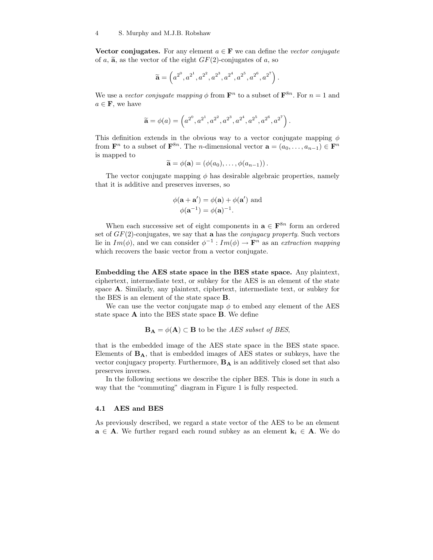Vector conjugates. For any element  $a \in \mathbf{F}$  we can define the vector conjugate of a,  $\tilde{a}$ , as the vector of the eight  $GF(2)$ -conjugates of a, so

$$
\widetilde{\mathbf{a}} = \left(a^{2^0}, a^{2^1}, a^{2^2}, a^{2^3}, a^{2^4}, a^{2^5}, a^{2^6}, a^{2^7}\right).
$$

We use a vector conjugate mapping  $\phi$  from  $\mathbf{F}^n$  to a subset of  $\mathbf{F}^{8n}$ . For  $n=1$  and  $a \in \mathbf{F}$ , we have

$$
\widetilde{\mathbf{a}} = \phi(a) = \left(a^{2^0}, a^{2^1}, a^{2^2}, a^{2^3}, a^{2^4}, a^{2^5}, a^{2^6}, a^{2^7}\right).
$$

This definition extends in the obvious way to a vector conjugate mapping  $\phi$ from  $\mathbf{F}^n$  to a subset of  $\mathbf{F}^{\delta n}$ . The *n*-dimensional vector  $\mathbf{a} = (a_0, \ldots, a_{n-1}) \in \mathbf{F}^n$ is mapped to

$$
\widetilde{\mathbf{a}} = \phi(\mathbf{a}) = (\phi(a_0), \dots, \phi(a_{n-1})).
$$

The vector conjugate mapping  $\phi$  has desirable algebraic properties, namely that it is additive and preserves inverses, so

$$
\phi(\mathbf{a} + \mathbf{a}') = \phi(\mathbf{a}) + \phi(\mathbf{a}') \text{ and}
$$

$$
\phi(\mathbf{a}^{-1}) = \phi(\mathbf{a})^{-1}.
$$

When each successive set of eight components in  $\mathbf{a} \in \mathbf{F}^{8n}$  form an ordered set of  $GF(2)$ -conjugates, we say that **a** has the *conjugacy property*. Such vectors lie in  $Im(\phi)$ , and we can consider  $\phi^{-1}: Im(\phi) \to \mathbf{F}^n$  as an extraction mapping which recovers the basic vector from a vector conjugate.

Embedding the AES state space in the BES state space. Any plaintext, ciphertext, intermediate text, or subkey for the AES is an element of the state space A. Similarly, any plaintext, ciphertext, intermediate text, or subkey for the BES is an element of the state space B.

We can use the vector conjugate map  $\phi$  to embed any element of the AES state space A into the BES state space B. We define

$$
\mathbf{B}_{\mathbf{A}} = \phi(\mathbf{A}) \subset \mathbf{B}
$$
 to be the AES subset of BES,

that is the embedded image of the AES state space in the BES state space. Elements of  $B_A$ , that is embedded images of AES states or subkeys, have the vector conjugacy property. Furthermore,  $B_A$  is an additively closed set that also preserves inverses.

In the following sections we describe the cipher BES. This is done in such a way that the "commuting" diagram in Figure 1 is fully respected.

#### 4.1 AES and BES

As previously described, we regard a state vector of the AES to be an element  $a \in A$ . We further regard each round subkey as an element  $k_i \in A$ . We do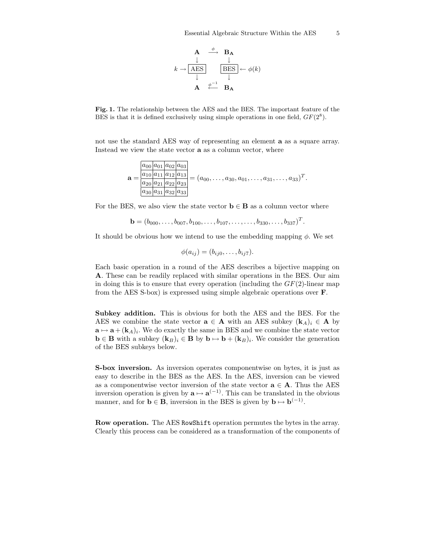$$
k \to \frac{A \xrightarrow{\phi} B_{A}}{\frac{AES}{\downarrow}} \xrightarrow{\frac{\downarrow}{BES}} \leftarrow \phi(k)
$$
  

$$
A \xleftarrow{\phi^{-1}} B_{A}
$$

Fig. 1. The relationship between the AES and the BES. The important feature of the BES is that it is defined exclusively using simple operations in one field,  $GF(2<sup>8</sup>)$ .

not use the standard AES way of representing an element a as a square array. Instead we view the state vector a as a column vector, where

$$
\mathbf{a} = \frac{\frac{a_{00} a_{01} a_{02} a_{03}}{a_{10} a_{11} a_{12} a_{13}}}{\frac{a_{20} a_{21} a_{22} a_{23}}{a_{30} a_{31} a_{32} a_{33}}} = (a_{00}, \dots, a_{30}, a_{01}, \dots, a_{31}, \dots, a_{33})^T.
$$

For the BES, we also view the state vector  $\mathbf{b} \in \mathbf{B}$  as a column vector where

$$
\mathbf{b} = (b_{000}, \dots, b_{007}, b_{100}, \dots, b_{107}, \dots, b_{330}, \dots, b_{337})^T.
$$

It should be obvious how we intend to use the embedding mapping  $\phi$ . We set

$$
\phi(a_{ij})=(b_{ij0},\ldots,b_{ij7}).
$$

Each basic operation in a round of the AES describes a bijective mapping on A. These can be readily replaced with similar operations in the BES. Our aim in doing this is to ensure that every operation (including the  $GF(2)$ -linear map from the AES S-box) is expressed using simple algebraic operations over F.

Subkey addition. This is obvious for both the AES and the BES. For the AES we combine the state vector  $\mathbf{a} \in \mathbf{A}$  with an AES subkey  $(\mathbf{k}_A)_i \in \mathbf{A}$  by  $\mathbf{a} \mapsto \mathbf{a} + (\mathbf{k}_A)_i$ . We do exactly the same in BES and we combine the state vector  $\mathbf{b} \in \mathbf{B}$  with a subkey  $(\mathbf{k}_B)_i \in \mathbf{B}$  by  $\mathbf{b} \mapsto \mathbf{b} + (\mathbf{k}_B)_i$ . We consider the generation of the BES subkeys below.

S-box inversion. As inversion operates componentwise on bytes, it is just as easy to describe in the BES as the AES. In the AES, inversion can be viewed as a componentwise vector inversion of the state vector  $\mathbf{a} \in \mathbf{A}$ . Thus the AES inversion operation is given by  $\mathbf{a} \mapsto \mathbf{a}^{(-1)}$ . This can be translated in the obvious manner, and for  $\mathbf{b} \in \mathbf{B}$ , inversion in the BES is given by  $\mathbf{b} \mapsto \mathbf{b}^{(-1)}$ .

Row operation. The AES RowShift operation permutes the bytes in the array. Clearly this process can be considered as a transformation of the components of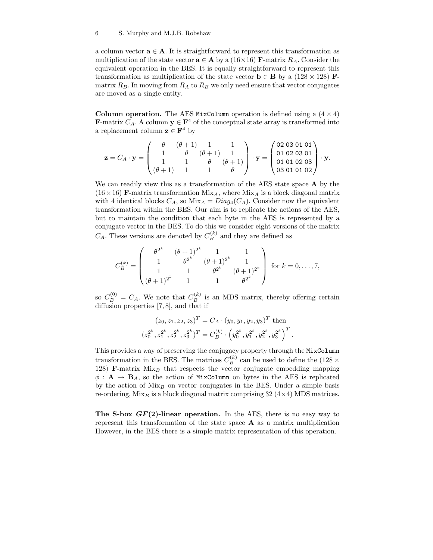#### 6 S. Murphy and M.J.B. Robshaw

a column vector  $\mathbf{a} \in \mathbf{A}$ . It is straightforward to represent this transformation as multiplication of the state vector  $\mathbf{a} \in \mathbf{A}$  by a (16×16) **F**-matrix  $R_A$ . Consider the equivalent operation in the BES. It is equally straightforward to represent this transformation as multiplication of the state vector  $\mathbf{b} \in \mathbf{B}$  by a (128 × 128) Fmatrix  $R_B$ . In moving from  $R_A$  to  $R_B$  we only need ensure that vector conjugates are moved as a single entity.

Column operation. The AES MixColumn operation is defined using a  $(4 \times 4)$ **F**-matrix  $C_A$ . A column  $y \in \mathbf{F}^4$  of the conceptual state array is transformed into a replacement column  $z \in F^4$  by

$$
\mathbf{z} = C_A \cdot \mathbf{y} = \begin{pmatrix} \theta & (\theta + 1) & 1 & 1 \\ 1 & \theta & (\theta + 1) & 1 \\ 1 & 1 & \theta & (\theta + 1) \\ (\theta + 1) & 1 & 1 & \theta \end{pmatrix} \cdot \mathbf{y} = \begin{pmatrix} 02 & 03 & 01 & 01 \\ 01 & 02 & 03 & 01 \\ 01 & 01 & 02 & 03 \\ 03 & 01 & 01 & 02 \end{pmatrix} \cdot \mathbf{y}.
$$

We can readily view this as a transformation of the AES state space **A** by the  $(16 \times 16)$  F-matrix transformation Mix<sub>A</sub>, where Mix<sub>A</sub> is a block diagonal matrix with 4 identical blocks  $C_A$ , so  $Mix_A = Diag_4(C_A)$ . Consider now the equivalent transformation within the BES. Our aim is to replicate the actions of the AES, but to maintain the condition that each byte in the AES is represented by a conjugate vector in the BES. To do this we consider eight versions of the matrix  $C_A$ . These versions are denoted by  $C_B^{(k)}$  and they are defined as

$$
C_B^{(k)} = \begin{pmatrix} \theta^{2^k} & (\theta + 1)^{2^k} & 1 & 1 \\ 1 & \theta^{2^k} & (\theta + 1)^{2^k} & 1 \\ 1 & 1 & \theta^{2^k} & (\theta + 1)^{2^k} \\ (\theta + 1)^{2^k} & 1 & 1 & \theta^{2^k} \end{pmatrix}
$$
 for  $k = 0, ..., 7$ ,

so  $C_B^{(0)} = C_A$ . We note that  $C_B^{(k)}$  is an MDS matrix, thereby offering certain diffusion properties [7, 8], and that if

$$
(z_0, z_1, z_2, z_3)^T = C_A \cdot (y_0, y_1, y_2, y_3)^T \text{ then}
$$
  

$$
(z_0^{2^k}, z_1^{2^k}, z_2^{2^k}, z_3^{2^k})^T = C_B^{(k)} \cdot (y_0^{2^k}, y_1^{2^k}, y_2^{2^k}, y_3^{2^k})^T.
$$

This provides a way of preserving the conjugacy property through the MixColumn transformation in the BES. The matrices  $C_B^{(k)}$  can be used to define the (128  $\times$ 128) **F**-matrix  $Mix_B$  that respects the vector conjugate embedding mapping  $\phi: \mathbf{A} \to \mathbf{B}_A$ , so the action of MixColumn on bytes in the AES is replicated by the action of  $Mix_B$  on vector conjugates in the BES. Under a simple basis re-ordering,  $Mix_B$  is a block diagonal matrix comprising 32 (4×4) MDS matrices.

The S-box  $GF(2)$ -linear operation. In the AES, there is no easy way to represent this transformation of the state space A as a matrix multiplication However, in the BES there is a simple matrix representation of this operation.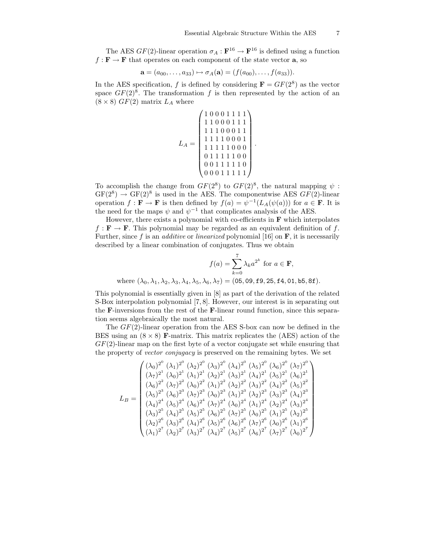.

The AES  $GF(2)$ -linear operation  $\sigma_A : \mathbf{F}^{16} \to \mathbf{F}^{16}$  is defined using a function  $f : \mathbf{F} \to \mathbf{F}$  that operates on each component of the state vector **a**, so

$$
\mathbf{a} = (a_{00}, \dots, a_{33}) \mapsto \sigma_A(\mathbf{a}) = (f(a_{00}), \dots, f(a_{33})).
$$

In the AES specification, f is defined by considering  $\mathbf{F} = GF(2^8)$  as the vector space  $GF(2)^8$ . The transformation f is then represented by the action of an  $(8 \times 8)$  GF(2) matrix  $L_A$  where

$$
L_A = \begin{pmatrix} 1 & 0 & 0 & 0 & 1 & 1 & 1 & 1 \\ 1 & 1 & 0 & 0 & 0 & 1 & 1 & 1 \\ 1 & 1 & 1 & 0 & 0 & 0 & 1 & 1 \\ 1 & 1 & 1 & 1 & 0 & 0 & 0 & 1 \\ 1 & 1 & 1 & 1 & 1 & 0 & 0 & 0 \\ 0 & 1 & 1 & 1 & 1 & 1 & 0 & 0 \\ 0 & 0 & 1 & 1 & 1 & 1 & 1 & 0 \\ 0 & 0 & 0 & 1 & 1 & 1 & 1 & 1 \end{pmatrix}
$$

To accomplish the change from  $GF(2^8)$  to  $GF(2)^8$ , the natural mapping  $\psi$ :  $GF(2^8) \rightarrow GF(2)^8$  is used in the AES. The componentwise AES  $GF(2)$ -linear operation  $f : \mathbf{F} \to \mathbf{F}$  is then defined by  $f(a) = \psi^{-1}(L_A(\psi(a)))$  for  $a \in \mathbf{F}$ . It is the need for the maps  $\psi$  and  $\psi^{-1}$  that complicates analysis of the AES.

However, there exists a polynomial with co-efficients in  $\bf{F}$  which interpolates  $f : \mathbf{F} \to \mathbf{F}$ . This polynomial may be regarded as an equivalent definition of f. Further, since f is an *additive* or *linearized* polynomial [16] on  $\mathbf{F}$ , it is necessarily described by a linear combination of conjugates. Thus we obtain

$$
f(a) = \sum_{k=0}^{7} \lambda_k a^{2^k} \text{ for } a \in \mathbf{F},
$$
  
where  $(\lambda_0, \lambda_1, \lambda_2, \lambda_3, \lambda_4, \lambda_5, \lambda_6, \lambda_7) = (05, 09, \texttt{f9}, 25, \texttt{f4}, 01, \texttt{b5}, 8\texttt{f}).$ 

This polynomial is essentially given in [8] as part of the derivation of the related S-Box interpolation polynomial [7, 8]. However, our interest is in separating out the F-inversions from the rest of the F-linear round function, since this separation seems algebraically the most natural.

The  $GF(2)$ -linear operation from the AES S-box can now be defined in the BES using an  $(8 \times 8)$  F-matrix. This matrix replicates the (AES) action of the  $GF(2)$ -linear map on the first byte of a vector conjugate set while ensuring that the property of vector conjugacy is preserved on the remaining bytes. We set

$$
L_B=\begin{pmatrix} (\lambda_0)^{2^0}~(\lambda_1)^{2^0}~(\lambda_2)^{2^0}~(\lambda_3)^{2^0}~(\lambda_4)^{2^0}~(\lambda_5)^{2^0}~(\lambda_6)^{2^0}~(\lambda_7)^{2^0}~(\lambda_6)^{2^1}~(\lambda_7)^{2^1}~(\lambda_9)^{2^1}~(\lambda_9)^{2^1}~(\lambda_9)^{2^1}~(\lambda_9)^{2^1}~(\lambda_9)^{2^1}~(\lambda_9)^{2^1}~(\lambda_9)^{2^1}~(\lambda_9)^{2^1}~(\lambda_9)^{2^2}~(\lambda_9)^{2^2}~(\lambda_9)^{2^2}~(\lambda_9)^{2^2}~(\lambda_9)^{2^2}~(\lambda_9)^{2^2}~(\lambda_9)^{2^2}~(\lambda_9)^{2^2}~(\lambda_9)^{2^3}~(\lambda_1)^{2^3}~(\lambda_9)^{2^3}~(\lambda_1)^{2^3}~(\lambda_2)^{2^3}~(\lambda_4)^{2^3}~(\lambda_4)^{2^3}~(\lambda_3)^{2^4}~(\lambda_3)^{2^4}~(\lambda_3)^{2^5}~(\lambda_6)^{2^4}~(\lambda_7)^{2^4}~(\lambda_9)^{2^5}~(\lambda_9)^{2^5}~(\lambda_9)^{2^5}~(\lambda_9)^{2^5}~(\lambda_9)^{2^5}~(\lambda_9)^{2^5}~(\lambda_9)^{2^5}~(\lambda_9)^{2^5}~(\lambda_9)^{2^5}~(\lambda_9)^{2^6}~(\lambda_1)^{2^6}~(\lambda_2)^{2^6}~(\lambda_1)^{2^6}~(\lambda_1)^{2^6}~(\lambda_1)^{2^6}~(\lambda_1)^{2^6}~(\lambda_1)^{2^6}~(\lambda_1)^{2^6}~(\lambda_1)^{2^6}~(\lambda_1)^{2^6}~(\lambda_1)^{2^6}~(\lambda_1)^{2^7}~(\lambda_2)^{2^7}~(\lambda_3)^{2^7}~(\lambda_6)^{2^7}~(\lambda_6)^{2^7}~(\lambda_6)^{2^7}~(\lambda_9)^{2^7}~(\lambda_9)^{2^7}~(\lambda_9)^{2^7}~(\lambda_
$$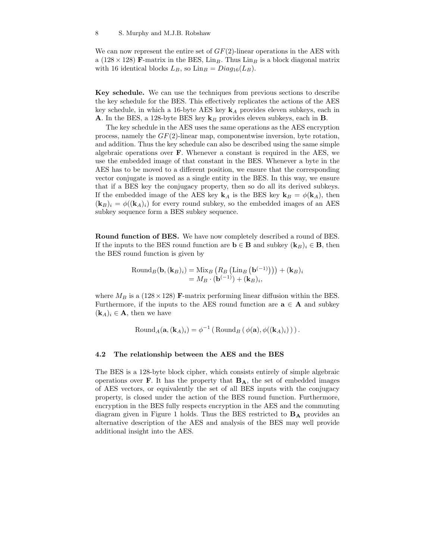We can now represent the entire set of  $GF(2)$ -linear operations in the AES with a (128 × 128) F-matrix in the BES,  $\text{Lin}_B$ . Thus  $\text{Lin}_B$  is a block diagonal matrix with 16 identical blocks  $L_B$ , so  $\text{Lin}_B = Diag_{16}(L_B)$ .

Key schedule. We can use the techniques from previous sections to describe the key schedule for the BES. This effectively replicates the actions of the AES key schedule, in which a 16-byte AES key  $k_A$  provides eleven subkeys, each in **A.** In the BES, a 128-byte BES key  $\mathbf{k}_B$  provides eleven subkeys, each in **B**.

The key schedule in the AES uses the same operations as the AES encryption process, namely the  $GF(2)$ -linear map, componentwise inversion, byte rotation, and addition. Thus the key schedule can also be described using the same simple algebraic operations over F. Whenever a constant is required in the AES, we use the embedded image of that constant in the BES. Whenever a byte in the AES has to be moved to a different position, we ensure that the corresponding vector conjugate is moved as a single entity in the BES. In this way, we ensure that if a BES key the conjugacy property, then so do all its derived subkeys. If the embedded image of the AES key  $\mathbf{k}_A$  is the BES key  $\mathbf{k}_B = \phi(\mathbf{k}_A)$ , then  $(\mathbf{k}_B)_i = \phi((\mathbf{k}_A)_i)$  for every round subkey, so the embedded images of an AES subkey sequence form a BES subkey sequence.

Round function of BES. We have now completely described a round of BES. If the inputs to the BES round function are  $\mathbf{b} \in \mathbf{B}$  and subkey  $(\mathbf{k}_B)_i \in \mathbf{B}$ , then the BES round function is given by

RoundB(b,(kB)i) = Mix<sup>B</sup> ¡ R<sup>B</sup> ¡ Lin<sup>B</sup> ¡ b (−1)¢¢¢ + (kB)<sup>i</sup> = M<sup>B</sup> · (b (−1)) + (kB)<sup>i</sup> ,

where  $M_B$  is a (128 × 128) **F**-matrix performing linear diffusion within the BES. Furthermore, if the inputs to the AES round function are  $a \in A$  and subkey  $(k_A)_i \in \mathbf{A}$ , then we have

Round<sub>A</sub>(**a**, (**k**<sub>A</sub>)<sub>i</sub>) = 
$$
\phi^{-1}
$$
 (Round<sub>B</sub> ( $\phi$ (**a**),  $\phi$ ((**k**<sub>A</sub>)<sub>i</sub>))).

#### 4.2 The relationship between the AES and the BES

The BES is a 128-byte block cipher, which consists entirely of simple algebraic operations over  $\bf{F}$ . It has the property that  $\bf{B}_A$ , the set of embedded images of AES vectors, or equivalently the set of all BES inputs with the conjugacy property, is closed under the action of the BES round function. Furthermore, encryption in the BES fully respects encryption in the AES and the commuting diagram given in Figure 1 holds. Thus the BES restricted to  $B_A$  provides an alternative description of the AES and analysis of the BES may well provide additional insight into the AES.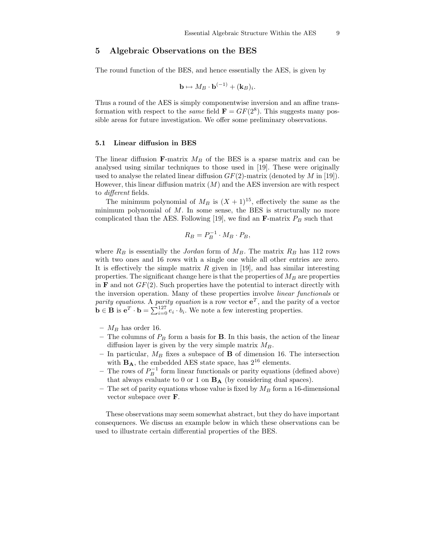## 5 Algebraic Observations on the BES

The round function of the BES, and hence essentially the AES, is given by

$$
\mathbf{b} \mapsto M_B \cdot \mathbf{b}^{(-1)} + (\mathbf{k}_B)_i.
$$

Thus a round of the AES is simply componentwise inversion and an affine transformation with respect to the *same* field  $\mathbf{F} = GF(2^8)$ . This suggests many possible areas for future investigation. We offer some preliminary observations.

#### 5.1 Linear diffusion in BES

The linear diffusion  $\mathbf{F}$ -matrix  $M_B$  of the BES is a sparse matrix and can be analysed using similar techniques to those used in [19]. These were originally used to analyse the related linear diffusion  $GF(2)$ -matrix (denoted by M in [19]). However, this linear diffusion matrix  $(M)$  and the AES inversion are with respect to different fields.

The minimum polynomial of  $M_B$  is  $(X + 1)^{15}$ , effectively the same as the minimum polynomial of  $M$ . In some sense, the BES is structurally no more complicated than the AES. Following [19], we find an  $\mathbf{F}$ -matrix  $P_B$  such that

$$
R_B = P_B^{-1} \cdot M_B \cdot P_B,
$$

where  $R_B$  is essentially the Jordan form of  $M_B$ . The matrix  $R_B$  has 112 rows with two ones and 16 rows with a single one while all other entries are zero. It is effectively the simple matrix  $R$  given in [19], and has similar interesting properties. The significant change here is that the properties of  $M_B$  are properties in **F** and not  $GF(2)$ . Such properties have the potential to interact directly with the inversion operation. Many of these properties involve linear functionals or parity equations. A parity equation is a row vector  $e^T$ , and the parity of a vector  $\mathbf{b} \in \mathbf{B}$  is  $\mathbf{e}^T \cdot \mathbf{b} = \sum_{i=0}^{127} e_i \cdot b_i$ . We note a few interesting properties.

- $\mathcal{M}_B$  has order 16.
- The columns of  $P_B$  form a basis for **B**. In this basis, the action of the linear diffusion layer is given by the very simple matrix  $M_B$ .
- In particular,  $M_B$  fixes a subspace of **B** of dimension 16. The intersection with  $\mathbf{B}_\mathbf{A}$ , the embedded AES state space, has  $2^{16}$  elements.
- − The rows of  $P_B^{-1}$  form linear functionals or parity equations (defined above) that always evaluate to 0 or 1 on  $\mathbf{B}_{\mathbf{A}}$  (by considering dual spaces).
- The set of parity equations whose value is fixed by  $M_B$  form a 16-dimensional vector subspace over F.

These observations may seem somewhat abstract, but they do have important consequences. We discuss an example below in which these observations can be used to illustrate certain differential properties of the BES.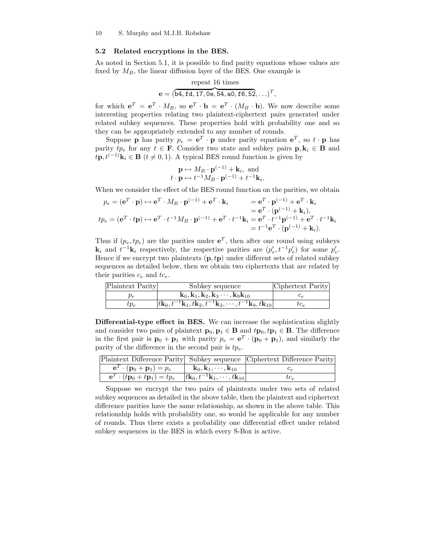#### 5.2 Related encryptions in the BES.

As noted in Section 5.1, it is possible to find parity equations whose values are fixed by  $M_B$ , the linear diffusion layer of the BES. One example is

repeat 16 times  

$$
e = (\overbrace{b4, fd, 17, 0e, 54, a0, f6, 52}, \ldots)^T
$$
,

for which  $e^T = e^T \cdot M_B$ , so  $e^T \cdot b = e^T \cdot (M_B \cdot b)$ . We now describe some interesting properties relating two plaintext-ciphertext pairs generated under related subkey sequences. These properties hold with probability one and so they can be appropriately extended to any number of rounds.

Suppose **p** has parity  $p_e = e^T \cdot \mathbf{p}$  under parity equation  $e^T$ , so  $t \cdot \mathbf{p}$  has parity  $tp_e$  for any  $t \in \mathbf{F}$ . Consider two state and subkey pairs  $\mathbf{p}, \mathbf{k}_i \in \mathbf{B}$  and  $t\mathbf{p}, t^{(-1)}\mathbf{k}_i \in \mathbf{B}$   $(t \neq 0, 1)$ . A typical BES round function is given by

$$
\mathbf{p} \mapsto M_B \cdot \mathbf{p}^{(-1)} + \mathbf{k}_i, \text{ and}
$$
  

$$
t \cdot \mathbf{p} \mapsto t^{-1} M_B \cdot \mathbf{p}^{(-1)} + t^{-1} \mathbf{k}_i
$$

When we consider the effect of the BES round function on the parities, we obtain

.

$$
p_e = (\mathbf{e}^T \cdot \mathbf{p}) \mapsto \mathbf{e}^T \cdot M_B \cdot \mathbf{p}^{(-1)} + \mathbf{e}^T \cdot \mathbf{k}_i
$$
  
\n
$$
= \mathbf{e}^T \cdot \mathbf{p}^{(-1)} + \mathbf{e}^T \cdot \mathbf{k}_i
$$
  
\n
$$
= \mathbf{e}^T \cdot (\mathbf{p}^{(-1)} + \mathbf{k}_i),
$$
  
\n
$$
tp_e = (\mathbf{e}^T \cdot t\mathbf{p}) \mapsto \mathbf{e}^T \cdot t^{-1} M_B \cdot \mathbf{p}^{(-1)} + \mathbf{e}^T \cdot t^{-1} \mathbf{k}_i = \mathbf{e}^T \cdot t^{-1} \mathbf{p}^{(-1)} + \mathbf{e}^T \cdot t^{-1} \mathbf{k}_i
$$
  
\n
$$
= t^{-1} \mathbf{e}^T \cdot (\mathbf{p}^{(-1)} + \mathbf{k}_i).
$$

Thus if  $(p_e, tp_e)$  are the parities under  $e^T$ , then after one round using subkeys  $\mathbf{k}_i$  and  $t^{-1}\mathbf{k}_i$  respectively, the respective parities are  $(p'_e, t^{-1}p'_e)$  for some  $p'_e$ . Hence if we encrypt two plaintexts  $(p, tp)$  under different sets of related subkey sequences as detailed below, then we obtain two ciphertexts that are related by their parities  $c_e$  and  $tc_e$ .

| Plaintext Parity | Subkey sequence                                                                                                  | Ciphertext Parity |
|------------------|------------------------------------------------------------------------------------------------------------------|-------------------|
| $p_e$            | $\mathbf{k}_0, \mathbf{k}_1, \mathbf{k}_2, \mathbf{k}_3 \cdots, \mathbf{k}_9 \mathbf{k}_{10}$                    | Ue.               |
| $tp_e$           | $ t\mathbf{k}_0,t^{-1}\mathbf{k}_1,t\mathbf{k}_2,t^{-1}\mathbf{k}_3,\cdots,t^{-1}\mathbf{k}_9,t\mathbf{k}_{10} $ | $tc_e$            |

Differential-type effect in BES. We can increase the sophistication slightly and consider two pairs of plaintext  $\mathbf{p}_0, \mathbf{p}_1 \in \mathbf{B}$  and  $t\mathbf{p}_0, t\mathbf{p}_1 \in \mathbf{B}$ . The difference in the first pair is  $\mathbf{p}_0 + \mathbf{p}_1$  with parity  $p_e = \mathbf{e}^T \cdot (\mathbf{p}_0 + \mathbf{p}_1)$ , and similarly the parity of the difference in the second pair is  $tp_e$ .

|                                                                                                             |                                                       | Plaintext Difference Parity Subkey sequence Ciphertext Difference Parity |
|-------------------------------------------------------------------------------------------------------------|-------------------------------------------------------|--------------------------------------------------------------------------|
| $\mathbf{e}^T \cdot (\mathbf{p}_0 + \mathbf{p}_1) = p_e$                                                    | $\mathbf{k}_0, \mathbf{k}_1, \cdots, \mathbf{k}_{10}$ |                                                                          |
| $\overline{e^T \cdot (tp_0 + tp_1)} = tp_e$ $ t\mathbf{k}_0, t^{-1}\mathbf{k}_1, \cdots, t\mathbf{k}_{10} $ |                                                       | $\iota c_{\infty}$                                                       |

Suppose we encrypt the two pairs of plaintexts under two sets of related subkey sequences as detailed in the above table, then the plaintext and ciphertext difference parities have the same relationship, as shown in the above table. This relationship holds with probability one, so would be applicable for any number of rounds. Thus there exists a probability one differential effect under related subkey sequences in the BES in which every S-Box is active.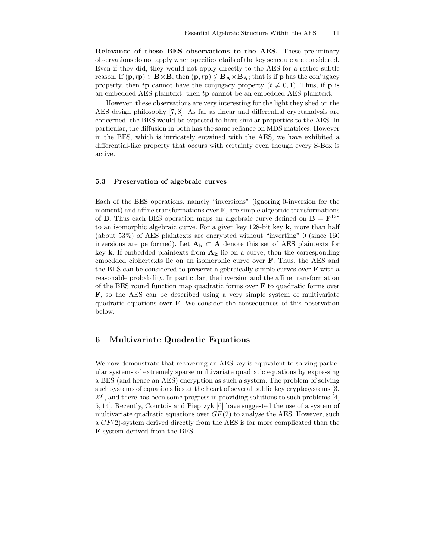Relevance of these BES observations to the AES. These preliminary observations do not apply when specific details of the key schedule are considered. Even if they did, they would not apply directly to the AES for a rather subtle reason. If  $(\mathbf{p}, t\mathbf{p}) \in \mathbf{B} \times \mathbf{B}$ , then  $(\mathbf{p}, t\mathbf{p}) \notin \mathbf{B}_{\mathbf{A}} \times \mathbf{B}_{\mathbf{A}}$ ; that is if p has the conjugacy property, then tp cannot have the conjugacy property  $(t \neq 0, 1)$ . Thus, if p is an embedded AES plaintext, then tp cannot be an embedded AES plaintext.

However, these observations are very interesting for the light they shed on the AES design philosophy [7, 8]. As far as linear and differential cryptanalysis are concerned, the BES would be expected to have similar properties to the AES. In particular, the diffusion in both has the same reliance on MDS matrices. However in the BES, which is intricately entwined with the AES, we have exhibited a differential-like property that occurs with certainty even though every S-Box is active.

#### 5.3 Preservation of algebraic curves

Each of the BES operations, namely "inversions" (ignoring 0-inversion for the moment) and affine transformations over  $\mathbf{F}$ , are simple algebraic transformations of **B**. Thus each BES operation maps an algebraic curve defined on  $B = F^{128}$ to an isomorphic algebraic curve. For a given key 128-bit key k, more than half (about 53%) of AES plaintexts are encrypted without "inverting" 0 (since 160 inversions are performed). Let  $A_k \subset A$  denote this set of AES plaintexts for key k. If embedded plaintexts from  $A_k$  lie on a curve, then the corresponding embedded ciphertexts lie on an isomorphic curve over F. Thus, the AES and the BES can be considered to preserve algebraically simple curves over F with a reasonable probability. In particular, the inversion and the affine transformation of the BES round function map quadratic forms over  $\bf{F}$  to quadratic forms over F, so the AES can be described using a very simple system of multivariate quadratic equations over F. We consider the consequences of this observation below.

## 6 Multivariate Quadratic Equations

We now demonstrate that recovering an AES key is equivalent to solving particular systems of extremely sparse multivariate quadratic equations by expressing a BES (and hence an AES) encryption as such a system. The problem of solving such systems of equations lies at the heart of several public key cryptosystems [3, 22], and there has been some progress in providing solutions to such problems [4, 5, 14]. Recently, Courtois and Pieprzyk [6] have suggested the use of a system of multivariate quadratic equations over  $GF(2)$  to analyse the AES. However, such a  $GF(2)$ -system derived directly from the AES is far more complicated than the F-system derived from the BES.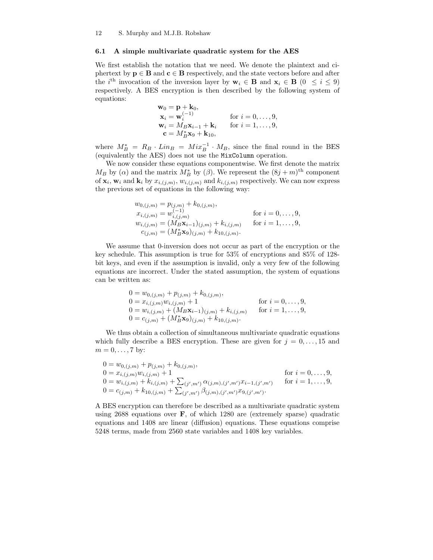### 6.1 A simple multivariate quadratic system for the AES

We first establish the notation that we need. We denote the plaintext and ciphertext by  $p \in B$  and  $c \in B$  respectively, and the state vectors before and after the *i*<sup>th</sup> invocation of the inversion layer by  $\mathbf{w}_i \in \mathbf{B}$  and  $\mathbf{x}_i \in \mathbf{B}$  (0  $\leq i \leq 9$ ) respectively. A BES encryption is then described by the following system of equations:

$$
\mathbf{w}_0 = \mathbf{p} + \mathbf{k}_0, \n\mathbf{x}_i = \mathbf{w}_i^{(-1)} \quad \text{for } i = 0, \dots, 9, \n\mathbf{w}_i = M_B \mathbf{x}_{i-1} + \mathbf{k}_i \quad \text{for } i = 1, \dots, 9, \n\mathbf{c} = M_B^* \mathbf{x}_9 + \mathbf{k}_{10},
$$

where  $M_B^* = R_B \cdot Lin_B = Mir_B^{-1} \cdot M_B$ , since the final round in the BES (equivalently the AES) does not use the MixColumn operation.

We now consider these equations componentwise. We first denote the matrix  $M_B$  by ( $\alpha$ ) and the matrix  $M_B^*$  by ( $\beta$ ). We represent the  $(8j + m)$ <sup>th</sup> component of  $\mathbf{x}_i$ ,  $\mathbf{w}_i$  and  $\mathbf{k}_i$  by  $x_{i,(j,m)}$ ,  $w_{i,(j,m)}$  and  $k_{i,(j,m)}$  respectively. We can now express the previous set of equations in the following way:

$$
w_{0,(j,m)} = p_{(j,m)} + k_{0,(j,m)},
$$
  
\n
$$
x_{i,(j,m)} = w_{i,(j,m)}^{(-1)}
$$
 for  $i = 0, ..., 9$ ,  
\n
$$
w_{i,(j,m)} = (M_B \mathbf{x}_{i-1})_{(j,m)} + k_{i,(j,m)}
$$
 for  $i = 1, ..., 9$ ,  
\n
$$
c_{(j,m)} = (M_B^* \mathbf{x}_9)_{(j,m)} + k_{10,(j,m)}.
$$

We assume that 0-inversion does not occur as part of the encryption or the key schedule. This assumption is true for 53% of encryptions and 85% of 128 bit keys, and even if the assumption is invalid, only a very few of the following equations are incorrect. Under the stated assumption, the system of equations can be written as:

$$
0 = w_{0,(j,m)} + p_{(j,m)} + k_{0,(j,m)},
$$
  
\n
$$
0 = x_{i,(j,m)}w_{i,(j,m)} + 1
$$
 for  $i = 0,...,9$ ,  
\n
$$
0 = w_{i,(j,m)} + (M_B \mathbf{x}_{i-1})_{(j,m)} + k_{i,(j,m)}
$$
 for  $i = 1,...,9$ ,  
\n
$$
0 = c_{(j,m)} + (M_B^* \mathbf{x}_9)_{(j,m)} + k_{10,(j,m)}.
$$

We thus obtain a collection of simultaneous multivariate quadratic equations which fully describe a BES encryption. These are given for  $j = 0, \ldots, 15$  and  $m = 0, \ldots, 7$  by:

$$
0 = w_{0,(j,m)} + p_{(j,m)} + k_{0,(j,m)},
$$
  
\n
$$
0 = x_{i,(j,m)}w_{i,(j,m)} + 1
$$
  
\n
$$
0 = w_{i,(j,m)} + k_{i,(j,m)} + \sum_{(j',m')}\alpha_{(j,m),(j',m')}x_{i-1,(j',m')} \text{ for } i = 1,\ldots,9,
$$
  
\n
$$
0 = c_{(j,m)} + k_{10,(j,m)} + \sum_{(j',m')}\beta_{(j,m),(j',m')}x_{9,(j',m')}.
$$

A BES encryption can therefore be described as a multivariate quadratic system using  $2688$  equations over  $\bf{F}$ , of which 1280 are (extremely sparse) quadratic equations and 1408 are linear (diffusion) equations. These equations comprise 5248 terms, made from 2560 state variables and 1408 key variables.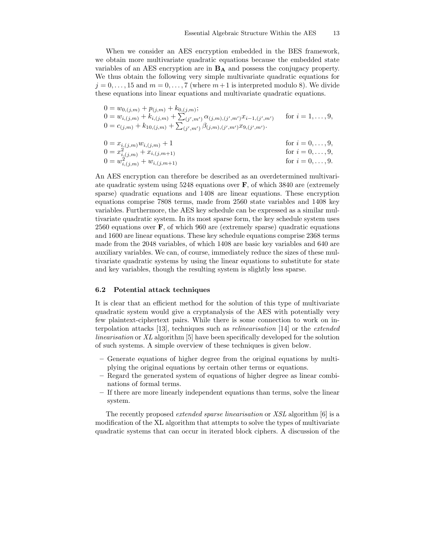When we consider an AES encryption embedded in the BES framework, we obtain more multivariate quadratic equations because the embedded state variables of an AES encryption are in  $B_A$  and possess the conjugacy property. We thus obtain the following very simple multivariate quadratic equations for  $j = 0, \ldots, 15$  and  $m = 0, \ldots, 7$  (where  $m+1$  is interpreted modulo 8). We divide these equations into linear equations and multivariate quadratic equations.

$$
0 = w_{0,(j,m)} + p_{(j,m)} + k_{0,(j,m)};
$$
  
\n
$$
0 = w_{i,(j,m)} + k_{i,(j,m)} + \sum_{(j',m')} \alpha_{(j,m),(j',m')} x_{i-1,(j',m')} \quad \text{for } i = 1,\ldots,9,
$$
  
\n
$$
0 = c_{(j,m)} + k_{10,(j,m)} + \sum_{(j',m')} \beta_{(j,m),(j',m')} x_{9,(j',m')}.
$$

$$
0 = x_{i,(j,m)}w_{i,(j,m)} + 1
$$
  
\n
$$
0 = x_{i,(j,m)}^2 + x_{i,(j,m+1)}
$$
  
\n
$$
0 = w_{i,(j,m)}^2 + w_{i,(j,m+1)}
$$
  
\nfor  $i = 0, ..., 9$ ,  
\nfor  $i = 0, ..., 9$ ,  
\nfor  $i = 0, ..., 9$ ,  
\nfor  $i = 0, ..., 9$ .

An AES encryption can therefore be described as an overdetermined multivariate quadratic system using  $5248$  equations over  $\bf{F}$ , of which 3840 are (extremely sparse) quadratic equations and 1408 are linear equations. These encryption equations comprise 7808 terms, made from 2560 state variables and 1408 key variables. Furthermore, the AES key schedule can be expressed as a similar multivariate quadratic system. In its most sparse form, the key schedule system uses 2560 equations over  $\bf{F}$ , of which 960 are (extremely sparse) quadratic equations and 1600 are linear equations. These key schedule equations comprise 2368 terms made from the 2048 variables, of which 1408 are basic key variables and 640 are auxiliary variables. We can, of course, immediately reduce the sizes of these multivariate quadratic systems by using the linear equations to substitute for state and key variables, though the resulting system is slightly less sparse.

#### 6.2 Potential attack techniques

It is clear that an efficient method for the solution of this type of multivariate quadratic system would give a cryptanalysis of the AES with potentially very few plaintext-ciphertext pairs. While there is some connection to work on interpolation attacks [13], techniques such as relinearisation [14] or the extended linearisation or XL algorithm [5] have been specifically developed for the solution of such systems. A simple overview of these techniques is given below.

- Generate equations of higher degree from the original equations by multiplying the original equations by certain other terms or equations.
- Regard the generated system of equations of higher degree as linear combinations of formal terms.
- If there are more linearly independent equations than terms, solve the linear system.

The recently proposed extended sparse linearisation or XSL algorithm [6] is a modification of the XL algorithm that attempts to solve the types of multivariate quadratic systems that can occur in iterated block ciphers. A discussion of the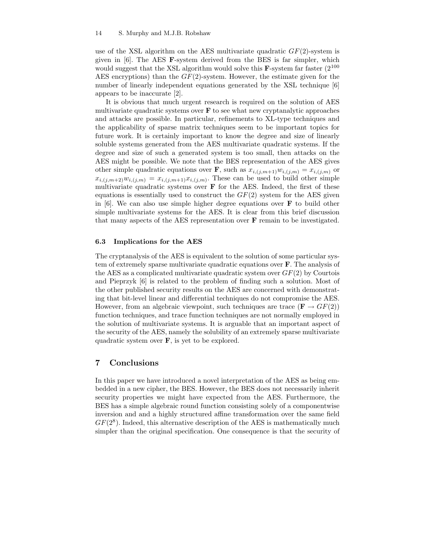use of the XSL algorithm on the AES multivariate quadratic  $GF(2)$ -system is given in [6]. The AES F-system derived from the BES is far simpler, which would suggest that the XSL algorithm would solve this  $\mathbf{F}$ -system far faster (2<sup>100</sup>) AES encryptions) than the  $GF(2)$ -system. However, the estimate given for the number of linearly independent equations generated by the XSL technique [6] appears to be inaccurate [2].

It is obvious that much urgent research is required on the solution of AES multivariate quadratic systems over  $\bf{F}$  to see what new cryptanalytic approaches and attacks are possible. In particular, refinements to XL-type techniques and the applicability of sparse matrix techniques seem to be important topics for future work. It is certainly important to know the degree and size of linearly soluble systems generated from the AES multivariate quadratic systems. If the degree and size of such a generated system is too small, then attacks on the AES might be possible. We note that the BES representation of the AES gives other simple quadratic equations over **F**, such as  $x_{i,(j,m+1)}w_{i,(j,m)} = x_{i,(j,m)}$  or  $x_{i,(j,m+2)}w_{i,(j,m)} = x_{i,(j,m+1)}x_{i,(j,m)}$ . These can be used to build other simple multivariate quadratic systems over  $\bf{F}$  for the AES. Indeed, the first of these equations is essentially used to construct the  $GF(2)$  system for the AES given in  $[6]$ . We can also use simple higher degree equations over **F** to build other simple multivariate systems for the AES. It is clear from this brief discussion that many aspects of the AES representation over F remain to be investigated.

#### 6.3 Implications for the AES

The cryptanalysis of the AES is equivalent to the solution of some particular system of extremely sparse multivariate quadratic equations over F. The analysis of the AES as a complicated multivariate quadratic system over  $GF(2)$  by Courtois and Pieprzyk [6] is related to the problem of finding such a solution. Most of the other published security results on the AES are concerned with demonstrating that bit-level linear and differential techniques do not compromise the AES. However, from an algebraic viewpoint, such techniques are trace ( $\mathbf{F} \to GF(2)$ ) function techniques, and trace function techniques are not normally employed in the solution of multivariate systems. It is arguable that an important aspect of the security of the AES, namely the solubility of an extremely sparse multivariate quadratic system over  $\bf{F}$ , is yet to be explored.

## 7 Conclusions

In this paper we have introduced a novel interpretation of the AES as being embedded in a new cipher, the BES. However, the BES does not necessarily inherit security properties we might have expected from the AES. Furthermore, the BES has a simple algebraic round function consisting solely of a componentwise inversion and and a highly structured affine transformation over the same field  $GF(2<sup>8</sup>)$ . Indeed, this alternative description of the AES is mathematically much simpler than the original specification. One consequence is that the security of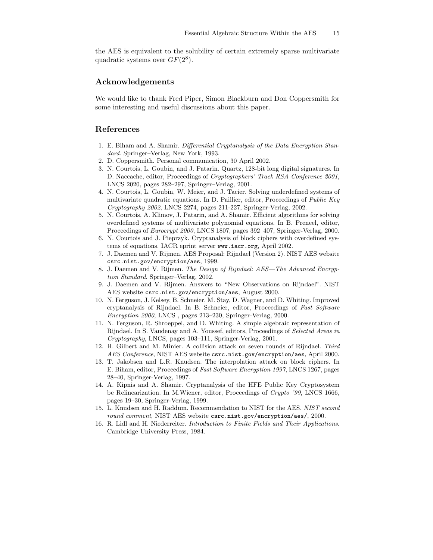the AES is equivalent to the solubility of certain extremely sparse multivariate quadratic systems over  $GF(2^8)$ .

## Acknowledgements

We would like to thank Fred Piper, Simon Blackburn and Don Coppersmith for some interesting and useful discussions about this paper.

## References

- 1. E. Biham and A. Shamir. Differential Cryptanalysis of the Data Encryption Standard. Springer–Verlag, New York, 1993.
- 2. D. Coppersmith. Personal communication, 30 April 2002.
- 3. N. Courtois, L. Goubin, and J. Patarin. Quartz, 128-bit long digital signatures. In D. Naccache, editor, Proceedings of Cryptographers' Track RSA Conference 2001, LNCS 2020, pages 282–297, Springer–Verlag, 2001.
- 4. N. Courtois, L. Goubin, W. Meier, and J. Tacier. Solving underdefined systems of multivariate quadratic equations. In D. Paillier, editor, Proceedings of Public Key Cryptography 2002, LNCS 2274, pages 211-227, Springer-Verlag, 2002.
- 5. N. Courtois, A. Klimov, J. Patarin, and A. Shamir. Efficient algorithms for solving overdefined systems of multivariate polynomial equations. In B. Preneel, editor, Proceedings of Eurocrypt 2000, LNCS 1807, pages 392–407, Springer-Verlag, 2000.
- 6. N. Courtois and J. Pieprzyk. Cryptanalysis of block ciphers with overdefined systems of equations. IACR eprint server www.iacr.org, April 2002.
- 7. J. Daemen and V. Rijmen. AES Proposal: Rijndael (Version 2). NIST AES website csrc.nist.gov/encryption/aes, 1999.
- 8. J. Daemen and V. Rijmen. The Design of Rijndael: AES—The Advanced Encryption Standard. Springer–Verlag, 2002.
- 9. J. Daemen and V. Rijmen. Answers to "New Observations on Rijndael". NIST AES website csrc.nist.gov/encryption/aes, August 2000.
- 10. N. Ferguson, J. Kelsey, B. Schneier, M. Stay, D. Wagner, and D. Whiting. Improved cryptanalysis of Rijndael. In B. Schneier, editor, Proceedings of Fast Software Encryption 2000, LNCS , pages 213–230, Springer-Verlag, 2000.
- 11. N. Ferguson, R. Shroeppel, and D. Whiting. A simple algebraic representation of Rijndael. In S. Vaudenay and A. Youssef, editors, Proceedings of Selected Areas in Cryptography, LNCS, pages 103–111, Springer-Verlag, 2001.
- 12. H. Gilbert and M. Minier. A collision attack on seven rounds of Rijndael. Third AES Conference, NIST AES website csrc.nist.gov/encryption/aes, April 2000.
- 13. T. Jakobsen and L.R. Knudsen. The interpolation attack on block ciphers. In E. Biham, editor, Proceedings of Fast Software Encryption 1997, LNCS 1267, pages 28–40, Springer-Verlag, 1997.
- 14. A. Kipnis and A. Shamir. Cryptanalysis of the HFE Public Key Cryptosystem be Relinearization. In M.Wiener, editor, Proceedings of Crypto '99, LNCS 1666, pages 19–30, Springer-Verlag, 1999.
- 15. L. Knudsen and H. Raddum. Recommendation to NIST for the AES. NIST second round comment, NIST AES website csrc.nist.gov/encryption/aes/, 2000.
- 16. R. Lidl and H. Niederreiter. Introduction to Finite Fields and Their Applications. Cambridge University Press, 1984.